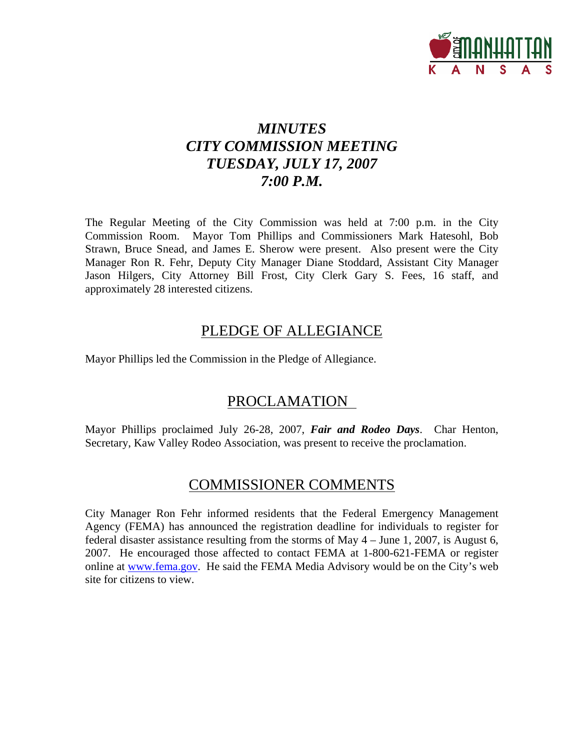

# *MINUTES CITY COMMISSION MEETING TUESDAY, JULY 17, 2007 7:00 P.M.*

The Regular Meeting of the City Commission was held at 7:00 p.m. in the City Commission Room. Mayor Tom Phillips and Commissioners Mark Hatesohl, Bob Strawn, Bruce Snead, and James E. Sherow were present. Also present were the City Manager Ron R. Fehr, Deputy City Manager Diane Stoddard, Assistant City Manager Jason Hilgers, City Attorney Bill Frost, City Clerk Gary S. Fees, 16 staff, and approximately 28 interested citizens.

## PLEDGE OF ALLEGIANCE

Mayor Phillips led the Commission in the Pledge of Allegiance.

## PROCLAMATION

Mayor Phillips proclaimed July 26-28, 2007, *Fair and Rodeo Days*. Char Henton, Secretary, Kaw Valley Rodeo Association, was present to receive the proclamation.

## COMMISSIONER COMMENTS

City Manager Ron Fehr informed residents that the Federal Emergency Management Agency (FEMA) has announced the registration deadline for individuals to register for federal disaster assistance resulting from the storms of May 4 – June 1, 2007, is August 6, 2007. He encouraged those affected to contact FEMA at 1-800-621-FEMA or register online at [www.fema.gov.](http://www.fema.gov/) He said the FEMA Media Advisory would be on the City's web site for citizens to view.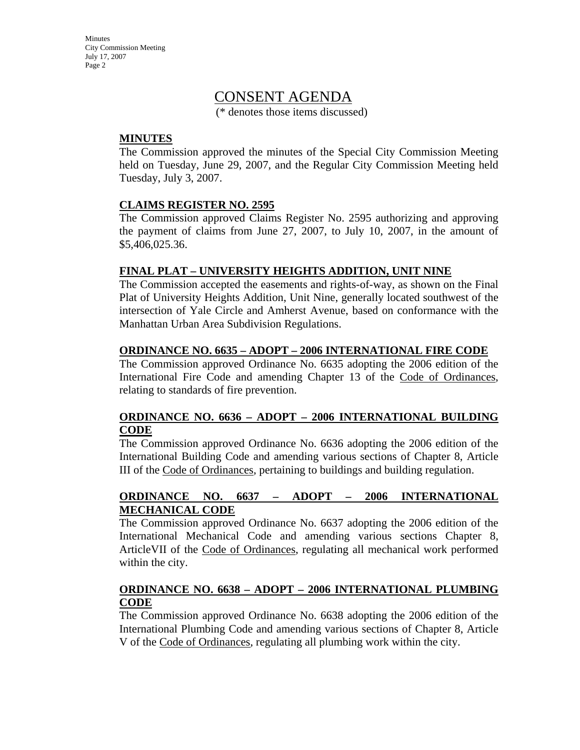**Minutes** City Commission Meeting July 17, 2007 Page 2

## CONSENT AGENDA

(\* denotes those items discussed)

#### **MINUTES**

The Commission approved the minutes of the Special City Commission Meeting held on Tuesday, June 29, 2007, and the Regular City Commission Meeting held Tuesday, July 3, 2007.

#### **CLAIMS REGISTER NO. 2595**

The Commission approved Claims Register No. 2595 authorizing and approving the payment of claims from June 27, 2007, to July 10, 2007, in the amount of \$5,406,025.36.

#### **FINAL PLAT – UNIVERSITY HEIGHTS ADDITION, UNIT NINE**

The Commission accepted the easements and rights-of-way, as shown on the Final Plat of University Heights Addition, Unit Nine, generally located southwest of the intersection of Yale Circle and Amherst Avenue, based on conformance with the Manhattan Urban Area Subdivision Regulations.

#### **ORDINANCE NO. 6635 – ADOPT – 2006 INTERNATIONAL FIRE CODE**

The Commission approved Ordinance No. 6635 adopting the 2006 edition of the International Fire Code and amending Chapter 13 of the Code of Ordinances, relating to standards of fire prevention.

### **ORDINANCE NO. 6636 – ADOPT – 2006 INTERNATIONAL BUILDING CODE**

The Commission approved Ordinance No. 6636 adopting the 2006 edition of the International Building Code and amending various sections of Chapter 8, Article III of the Code of Ordinances, pertaining to buildings and building regulation.

### **ORDINANCE NO. 6637 – ADOPT – 2006 INTERNATIONAL MECHANICAL CODE**

The Commission approved Ordinance No. 6637 adopting the 2006 edition of the International Mechanical Code and amending various sections Chapter 8, ArticleVII of the Code of Ordinances, regulating all mechanical work performed within the city.

#### **ORDINANCE NO. 6638 – ADOPT – 2006 INTERNATIONAL PLUMBING CODE**

The Commission approved Ordinance No. 6638 adopting the 2006 edition of the International Plumbing Code and amending various sections of Chapter 8, Article V of the Code of Ordinances, regulating all plumbing work within the city.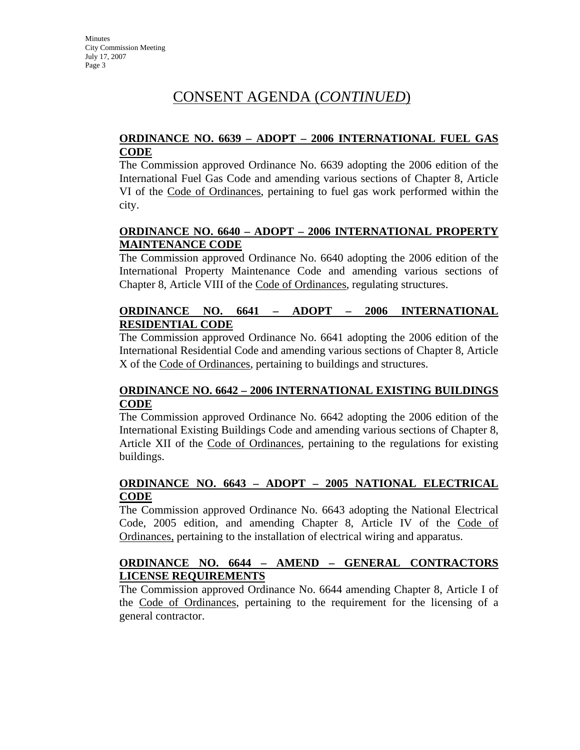### **ORDINANCE NO. 6639 – ADOPT – 2006 INTERNATIONAL FUEL GAS CODE**

The Commission approved Ordinance No. 6639 adopting the 2006 edition of the International Fuel Gas Code and amending various sections of Chapter 8, Article VI of the Code of Ordinances, pertaining to fuel gas work performed within the city.

### **ORDINANCE NO. 6640 – ADOPT – 2006 INTERNATIONAL PROPERTY MAINTENANCE CODE**

The Commission approved Ordinance No. 6640 adopting the 2006 edition of the International Property Maintenance Code and amending various sections of Chapter 8, Article VIII of the Code of Ordinances, regulating structures.

### **ORDINANCE NO. 6641 – ADOPT – 2006 INTERNATIONAL RESIDENTIAL CODE**

The Commission approved Ordinance No. 6641 adopting the 2006 edition of the International Residential Code and amending various sections of Chapter 8, Article X of the Code of Ordinances, pertaining to buildings and structures.

### **ORDINANCE NO. 6642 – 2006 INTERNATIONAL EXISTING BUILDINGS CODE**

The Commission approved Ordinance No. 6642 adopting the 2006 edition of the International Existing Buildings Code and amending various sections of Chapter 8, Article XII of the Code of Ordinances, pertaining to the regulations for existing buildings.

### **ORDINANCE NO. 6643 – ADOPT – 2005 NATIONAL ELECTRICAL CODE**

The Commission approved Ordinance No. 6643 adopting the National Electrical Code, 2005 edition, and amending Chapter 8, Article IV of the Code of Ordinances, pertaining to the installation of electrical wiring and apparatus.

## **ORDINANCE NO. 6644 – AMEND – GENERAL CONTRACTORS LICENSE REQUIREMENTS**

The Commission approved Ordinance No. 6644 amending Chapter 8, Article I of the Code of Ordinances, pertaining to the requirement for the licensing of a general contractor.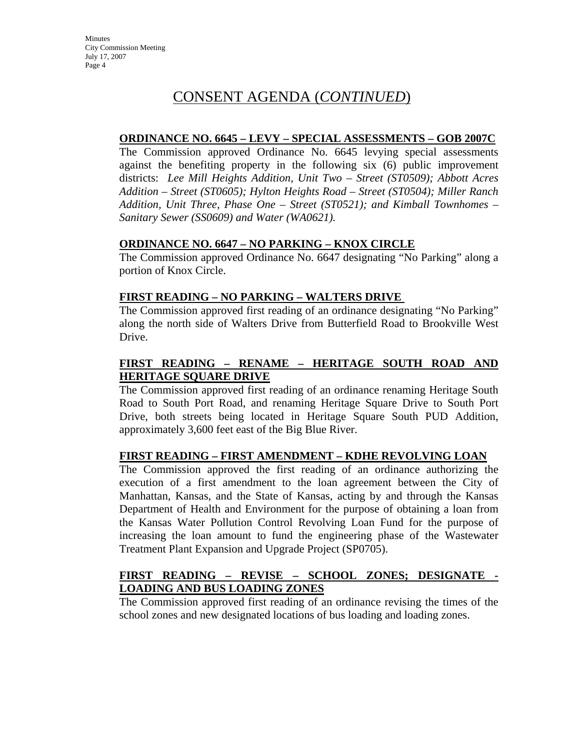### **ORDINANCE NO. 6645 – LEVY – SPECIAL ASSESSMENTS – GOB 2007C**

The Commission approved Ordinance No. 6645 levying special assessments against the benefiting property in the following six (6) public improvement districts: *Lee Mill Heights Addition, Unit Two – Street (ST0509); Abbott Acres Addition – Street (ST0605); Hylton Heights Road – Street (ST0504); Miller Ranch Addition, Unit Three, Phase One – Street (ST0521); and Kimball Townhomes – Sanitary Sewer (SS0609) and Water (WA0621).*

### **ORDINANCE NO. 6647 – NO PARKING – KNOX CIRCLE**

The Commission approved Ordinance No. 6647 designating "No Parking" along a portion of Knox Circle.

#### **FIRST READING – NO PARKING – WALTERS DRIVE**

The Commission approved first reading of an ordinance designating "No Parking" along the north side of Walters Drive from Butterfield Road to Brookville West Drive.

## **FIRST READING – RENAME – HERITAGE SOUTH ROAD AND HERITAGE SQUARE DRIVE**

The Commission approved first reading of an ordinance renaming Heritage South Road to South Port Road, and renaming Heritage Square Drive to South Port Drive, both streets being located in Heritage Square South PUD Addition, approximately 3,600 feet east of the Big Blue River.

### **FIRST READING – FIRST AMENDMENT – KDHE REVOLVING LOAN**

The Commission approved the first reading of an ordinance authorizing the execution of a first amendment to the loan agreement between the City of Manhattan, Kansas, and the State of Kansas, acting by and through the Kansas Department of Health and Environment for the purpose of obtaining a loan from the Kansas Water Pollution Control Revolving Loan Fund for the purpose of increasing the loan amount to fund the engineering phase of the Wastewater Treatment Plant Expansion and Upgrade Project (SP0705).

## **FIRST READING – REVISE – SCHOOL ZONES; DESIGNATE - LOADING AND BUS LOADING ZONES**

The Commission approved first reading of an ordinance revising the times of the school zones and new designated locations of bus loading and loading zones.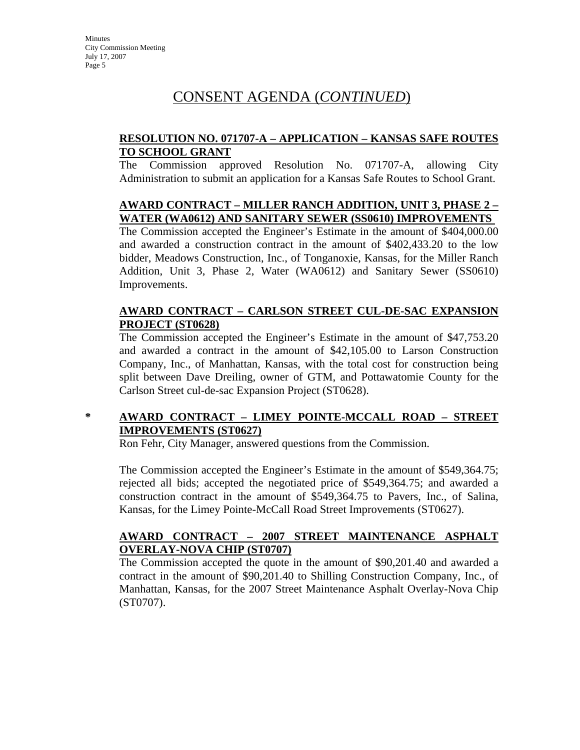### **RESOLUTION NO. 071707-A – APPLICATION – KANSAS SAFE ROUTES TO SCHOOL GRANT**

The Commission approved Resolution No. 071707-A, allowing City Administration to submit an application for a Kansas Safe Routes to School Grant.

## **AWARD CONTRACT – MILLER RANCH ADDITION, UNIT 3, PHASE 2 – WATER (WA0612) AND SANITARY SEWER (SS0610) IMPROVEMENTS**

The Commission accepted the Engineer's Estimate in the amount of \$404,000.00 and awarded a construction contract in the amount of \$402,433.20 to the low bidder, Meadows Construction, Inc., of Tonganoxie, Kansas, for the Miller Ranch Addition, Unit 3, Phase 2, Water (WA0612) and Sanitary Sewer (SS0610) Improvements.

### **AWARD CONTRACT – CARLSON STREET CUL-DE-SAC EXPANSION PROJECT (ST0628)**

The Commission accepted the Engineer's Estimate in the amount of \$47,753.20 and awarded a contract in the amount of \$42,105.00 to Larson Construction Company, Inc., of Manhattan, Kansas, with the total cost for construction being split between Dave Dreiling, owner of GTM, and Pottawatomie County for the Carlson Street cul-de-sac Expansion Project (ST0628).

## **\* AWARD CONTRACT – LIMEY POINTE-MCCALL ROAD – STREET IMPROVEMENTS (ST0627)**

Ron Fehr, City Manager, answered questions from the Commission.

The Commission accepted the Engineer's Estimate in the amount of \$549,364.75; rejected all bids; accepted the negotiated price of \$549,364.75; and awarded a construction contract in the amount of \$549,364.75 to Pavers, Inc., of Salina, Kansas, for the Limey Pointe-McCall Road Street Improvements (ST0627).

## **AWARD CONTRACT – 2007 STREET MAINTENANCE ASPHALT OVERLAY-NOVA CHIP (ST0707)**

The Commission accepted the quote in the amount of \$90,201.40 and awarded a contract in the amount of \$90,201.40 to Shilling Construction Company, Inc., of Manhattan, Kansas, for the 2007 Street Maintenance Asphalt Overlay-Nova Chip (ST0707).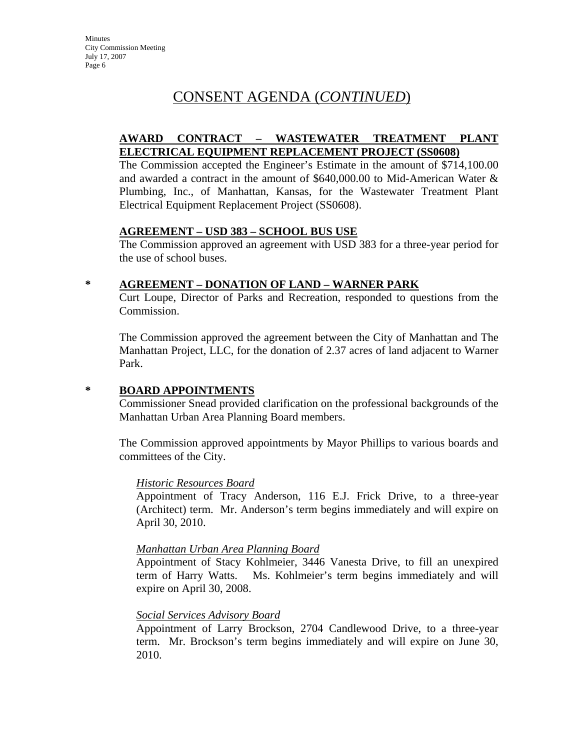### **AWARD CONTRACT – WASTEWATER TREATMENT PLANT ELECTRICAL EQUIPMENT REPLACEMENT PROJECT (SS0608)**

The Commission accepted the Engineer's Estimate in the amount of \$714,100.00 and awarded a contract in the amount of \$640,000.00 to Mid-American Water & Plumbing, Inc., of Manhattan, Kansas, for the Wastewater Treatment Plant Electrical Equipment Replacement Project (SS0608).

### **AGREEMENT – USD 383 – SCHOOL BUS USE**

The Commission approved an agreement with USD 383 for a three-year period for the use of school buses.

### **\* AGREEMENT – DONATION OF LAND – WARNER PARK**

Curt Loupe, Director of Parks and Recreation, responded to questions from the Commission.

The Commission approved the agreement between the City of Manhattan and The Manhattan Project, LLC, for the donation of 2.37 acres of land adjacent to Warner Park.

### **\* BOARD APPOINTMENTS**

Commissioner Snead provided clarification on the professional backgrounds of the Manhattan Urban Area Planning Board members.

The Commission approved appointments by Mayor Phillips to various boards and committees of the City.

#### *Historic Resources Board*

Appointment of Tracy Anderson, 116 E.J. Frick Drive, to a three-year (Architect) term. Mr. Anderson's term begins immediately and will expire on April 30, 2010.

### *Manhattan Urban Area Planning Board*

Appointment of Stacy Kohlmeier, 3446 Vanesta Drive, to fill an unexpired term of Harry Watts. Ms. Kohlmeier's term begins immediately and will expire on April 30, 2008.

### *Social Services Advisory Board*

Appointment of Larry Brockson, 2704 Candlewood Drive, to a three-year term. Mr. Brockson's term begins immediately and will expire on June 30, 2010.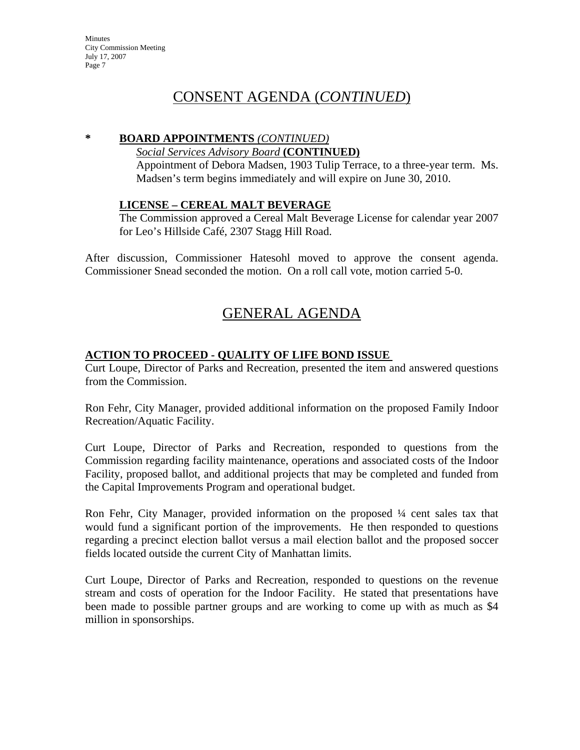**Minutes** City Commission Meeting July 17, 2007 Page 7

## CONSENT AGENDA (*CONTINUED*)

#### **\* BOARD APPOINTMENTS** *(CONTINUED)*

#### *Social Services Advisory Board* **(CONTINUED)**

Appointment of Debora Madsen, 1903 Tulip Terrace, to a three-year term. Ms. Madsen's term begins immediately and will expire on June 30, 2010.

#### **LICENSE – CEREAL MALT BEVERAGE**

The Commission approved a Cereal Malt Beverage License for calendar year 2007 for Leo's Hillside Café, 2307 Stagg Hill Road.

After discussion, Commissioner Hatesohl moved to approve the consent agenda. Commissioner Snead seconded the motion. On a roll call vote, motion carried 5-0.

# GENERAL AGENDA

### **ACTION TO PROCEED - QUALITY OF LIFE BOND ISSUE**

Curt Loupe, Director of Parks and Recreation, presented the item and answered questions from the Commission.

Ron Fehr, City Manager, provided additional information on the proposed Family Indoor Recreation/Aquatic Facility.

Curt Loupe, Director of Parks and Recreation, responded to questions from the Commission regarding facility maintenance, operations and associated costs of the Indoor Facility, proposed ballot, and additional projects that may be completed and funded from the Capital Improvements Program and operational budget.

Ron Fehr, City Manager, provided information on the proposed ¼ cent sales tax that would fund a significant portion of the improvements. He then responded to questions regarding a precinct election ballot versus a mail election ballot and the proposed soccer fields located outside the current City of Manhattan limits.

Curt Loupe, Director of Parks and Recreation, responded to questions on the revenue stream and costs of operation for the Indoor Facility. He stated that presentations have been made to possible partner groups and are working to come up with as much as \$4 million in sponsorships.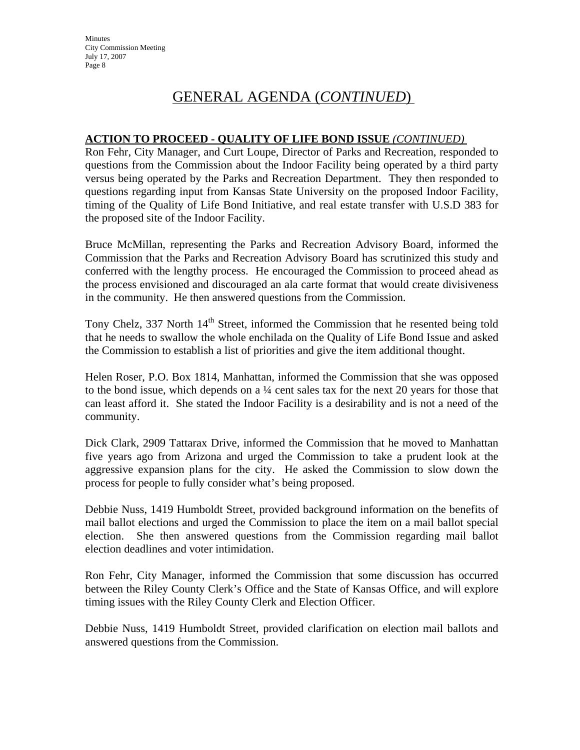**Minutes** City Commission Meeting July 17, 2007 Page 8

## GENERAL AGENDA (*CONTINUED*)

#### **ACTION TO PROCEED - QUALITY OF LIFE BOND ISSUE** *(CONTINUED)*

Ron Fehr, City Manager, and Curt Loupe, Director of Parks and Recreation, responded to questions from the Commission about the Indoor Facility being operated by a third party versus being operated by the Parks and Recreation Department. They then responded to questions regarding input from Kansas State University on the proposed Indoor Facility, timing of the Quality of Life Bond Initiative, and real estate transfer with U.S.D 383 for the proposed site of the Indoor Facility.

Bruce McMillan, representing the Parks and Recreation Advisory Board, informed the Commission that the Parks and Recreation Advisory Board has scrutinized this study and conferred with the lengthy process. He encouraged the Commission to proceed ahead as the process envisioned and discouraged an ala carte format that would create divisiveness in the community. He then answered questions from the Commission.

Tony Chelz, 337 North  $14<sup>th</sup>$  Street, informed the Commission that he resented being told that he needs to swallow the whole enchilada on the Quality of Life Bond Issue and asked the Commission to establish a list of priorities and give the item additional thought.

Helen Roser, P.O. Box 1814, Manhattan, informed the Commission that she was opposed to the bond issue, which depends on a ¼ cent sales tax for the next 20 years for those that can least afford it. She stated the Indoor Facility is a desirability and is not a need of the community.

Dick Clark, 2909 Tattarax Drive, informed the Commission that he moved to Manhattan five years ago from Arizona and urged the Commission to take a prudent look at the aggressive expansion plans for the city. He asked the Commission to slow down the process for people to fully consider what's being proposed.

Debbie Nuss, 1419 Humboldt Street, provided background information on the benefits of mail ballot elections and urged the Commission to place the item on a mail ballot special election. She then answered questions from the Commission regarding mail ballot election deadlines and voter intimidation.

Ron Fehr, City Manager, informed the Commission that some discussion has occurred between the Riley County Clerk's Office and the State of Kansas Office, and will explore timing issues with the Riley County Clerk and Election Officer.

Debbie Nuss, 1419 Humboldt Street, provided clarification on election mail ballots and answered questions from the Commission.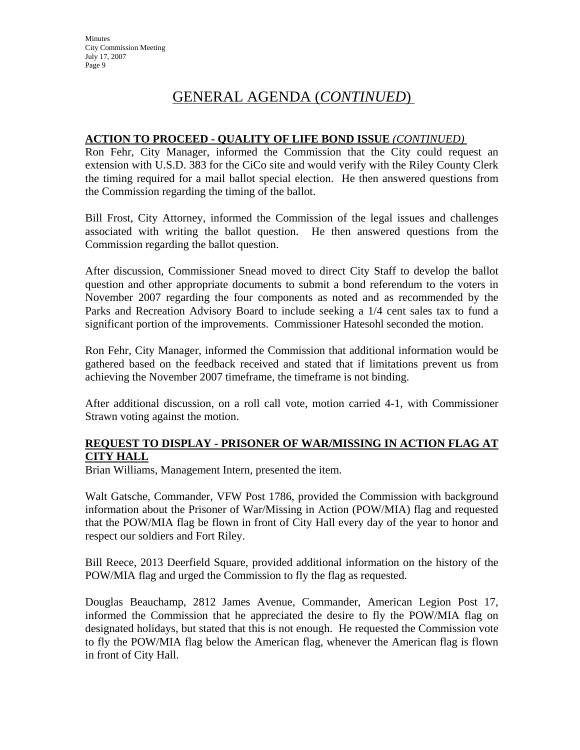#### **ACTION TO PROCEED - QUALITY OF LIFE BOND ISSUE** *(CONTINUED)*

Ron Fehr, City Manager, informed the Commission that the City could request an extension with U.S.D. 383 for the CiCo site and would verify with the Riley County Clerk the timing required for a mail ballot special election. He then answered questions from the Commission regarding the timing of the ballot.

Bill Frost, City Attorney, informed the Commission of the legal issues and challenges associated with writing the ballot question. He then answered questions from the Commission regarding the ballot question.

After discussion, Commissioner Snead moved to direct City Staff to develop the ballot question and other appropriate documents to submit a bond referendum to the voters in November 2007 regarding the four components as noted and as recommended by the Parks and Recreation Advisory Board to include seeking a 1/4 cent sales tax to fund a significant portion of the improvements. Commissioner Hatesohl seconded the motion.

Ron Fehr, City Manager, informed the Commission that additional information would be gathered based on the feedback received and stated that if limitations prevent us from achieving the November 2007 timeframe, the timeframe is not binding.

After additional discussion, on a roll call vote, motion carried 4-1, with Commissioner Strawn voting against the motion.

### **REQUEST TO DISPLAY - PRISONER OF WAR/MISSING IN ACTION FLAG AT CITY HALL**

Brian Williams, Management Intern, presented the item.

Walt Gatsche, Commander, VFW Post 1786, provided the Commission with background information about the Prisoner of War/Missing in Action (POW/MIA) flag and requested that the POW/MIA flag be flown in front of City Hall every day of the year to honor and respect our soldiers and Fort Riley.

Bill Reece, 2013 Deerfield Square, provided additional information on the history of the POW/MIA flag and urged the Commission to fly the flag as requested.

Douglas Beauchamp, 2812 James Avenue, Commander, American Legion Post 17, informed the Commission that he appreciated the desire to fly the POW/MIA flag on designated holidays, but stated that this is not enough. He requested the Commission vote to fly the POW/MIA flag below the American flag, whenever the American flag is flown in front of City Hall.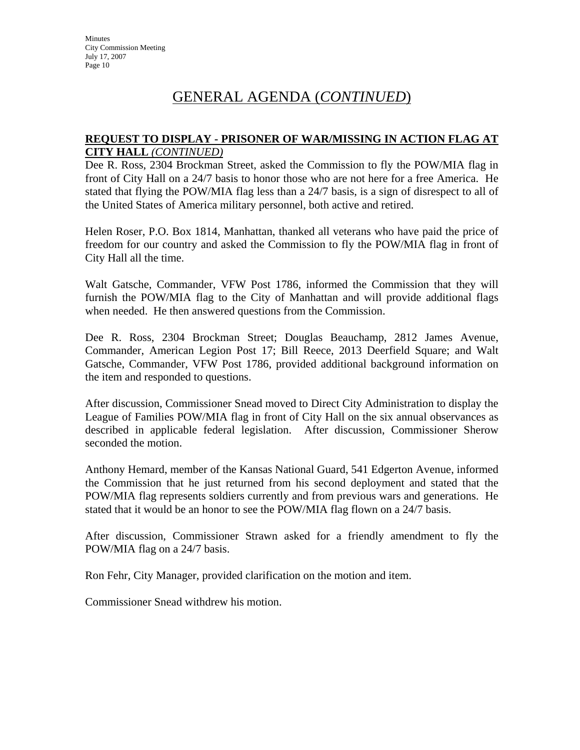#### **REQUEST TO DISPLAY - PRISONER OF WAR/MISSING IN ACTION FLAG AT CITY HALL** *(CONTINUED)*

Dee R. Ross, 2304 Brockman Street, asked the Commission to fly the POW/MIA flag in front of City Hall on a 24/7 basis to honor those who are not here for a free America. He stated that flying the POW/MIA flag less than a 24/7 basis, is a sign of disrespect to all of the United States of America military personnel, both active and retired.

Helen Roser, P.O. Box 1814, Manhattan, thanked all veterans who have paid the price of freedom for our country and asked the Commission to fly the POW/MIA flag in front of City Hall all the time.

Walt Gatsche, Commander, VFW Post 1786, informed the Commission that they will furnish the POW/MIA flag to the City of Manhattan and will provide additional flags when needed. He then answered questions from the Commission.

Dee R. Ross, 2304 Brockman Street; Douglas Beauchamp, 2812 James Avenue, Commander, American Legion Post 17; Bill Reece, 2013 Deerfield Square; and Walt Gatsche, Commander, VFW Post 1786, provided additional background information on the item and responded to questions.

After discussion, Commissioner Snead moved to Direct City Administration to display the League of Families POW/MIA flag in front of City Hall on the six annual observances as described in applicable federal legislation. After discussion, Commissioner Sherow seconded the motion.

Anthony Hemard, member of the Kansas National Guard, 541 Edgerton Avenue, informed the Commission that he just returned from his second deployment and stated that the POW/MIA flag represents soldiers currently and from previous wars and generations. He stated that it would be an honor to see the POW/MIA flag flown on a 24/7 basis.

After discussion, Commissioner Strawn asked for a friendly amendment to fly the POW/MIA flag on a 24/7 basis.

Ron Fehr, City Manager, provided clarification on the motion and item.

Commissioner Snead withdrew his motion.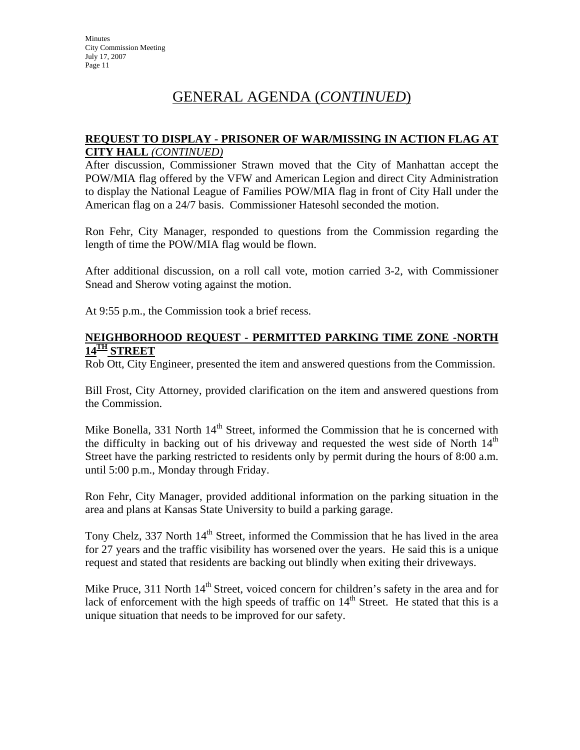#### **REQUEST TO DISPLAY - PRISONER OF WAR/MISSING IN ACTION FLAG AT CITY HALL** *(CONTINUED)*

After discussion, Commissioner Strawn moved that the City of Manhattan accept the POW/MIA flag offered by the VFW and American Legion and direct City Administration to display the National League of Families POW/MIA flag in front of City Hall under the American flag on a 24/7 basis. Commissioner Hatesohl seconded the motion.

Ron Fehr, City Manager, responded to questions from the Commission regarding the length of time the POW/MIA flag would be flown.

After additional discussion, on a roll call vote, motion carried 3-2, with Commissioner Snead and Sherow voting against the motion.

At 9:55 p.m., the Commission took a brief recess.

#### **NEIGHBORHOOD REQUEST - PERMITTED PARKING TIME ZONE -NORTH 14TH STREET**

Rob Ott, City Engineer, presented the item and answered questions from the Commission.

Bill Frost, City Attorney, provided clarification on the item and answered questions from the Commission.

Mike Bonella,  $331$  North  $14<sup>th</sup>$  Street, informed the Commission that he is concerned with the difficulty in backing out of his driveway and requested the west side of North  $14<sup>th</sup>$ Street have the parking restricted to residents only by permit during the hours of 8:00 a.m. until 5:00 p.m., Monday through Friday.

Ron Fehr, City Manager, provided additional information on the parking situation in the area and plans at Kansas State University to build a parking garage.

Tony Chelz, 337 North 14<sup>th</sup> Street, informed the Commission that he has lived in the area for 27 years and the traffic visibility has worsened over the years. He said this is a unique request and stated that residents are backing out blindly when exiting their driveways.

Mike Pruce, 311 North  $14<sup>th</sup>$  Street, voiced concern for children's safety in the area and for lack of enforcement with the high speeds of traffic on  $14<sup>th</sup>$  Street. He stated that this is a unique situation that needs to be improved for our safety.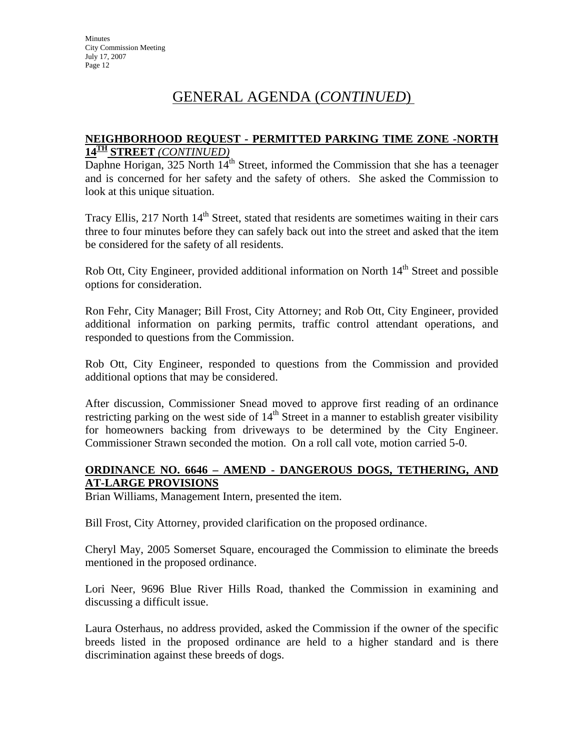#### **NEIGHBORHOOD REQUEST - PERMITTED PARKING TIME ZONE -NORTH 14TH STREET** *(CONTINUED)*

Daphne Horigan, 325 North  $14<sup>th</sup>$  Street, informed the Commission that she has a teenager and is concerned for her safety and the safety of others. She asked the Commission to look at this unique situation.

Tracy Ellis, 217 North  $14<sup>th</sup>$  Street, stated that residents are sometimes waiting in their cars three to four minutes before they can safely back out into the street and asked that the item be considered for the safety of all residents.

Rob Ott, City Engineer, provided additional information on North 14<sup>th</sup> Street and possible options for consideration.

Ron Fehr, City Manager; Bill Frost, City Attorney; and Rob Ott, City Engineer, provided additional information on parking permits, traffic control attendant operations, and responded to questions from the Commission.

Rob Ott, City Engineer, responded to questions from the Commission and provided additional options that may be considered.

After discussion, Commissioner Snead moved to approve first reading of an ordinance restricting parking on the west side of  $14<sup>th</sup>$  Street in a manner to establish greater visibility for homeowners backing from driveways to be determined by the City Engineer. Commissioner Strawn seconded the motion. On a roll call vote, motion carried 5-0.

### **ORDINANCE NO. 6646 – AMEND - DANGEROUS DOGS, TETHERING, AND AT-LARGE PROVISIONS**

Brian Williams, Management Intern, presented the item.

Bill Frost, City Attorney, provided clarification on the proposed ordinance.

Cheryl May, 2005 Somerset Square, encouraged the Commission to eliminate the breeds mentioned in the proposed ordinance.

Lori Neer, 9696 Blue River Hills Road, thanked the Commission in examining and discussing a difficult issue.

Laura Osterhaus, no address provided, asked the Commission if the owner of the specific breeds listed in the proposed ordinance are held to a higher standard and is there discrimination against these breeds of dogs.